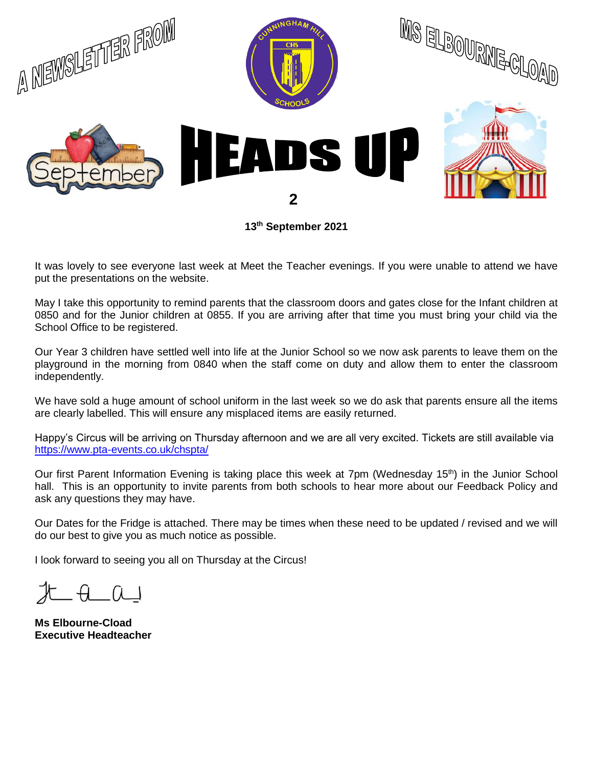

**13th September 2021**

It was lovely to see everyone last week at Meet the Teacher evenings. If you were unable to attend we have put the presentations on the website.

May I take this opportunity to remind parents that the classroom doors and gates close for the Infant children at 0850 and for the Junior children at 0855. If you are arriving after that time you must bring your child via the School Office to be registered.

Our Year 3 children have settled well into life at the Junior School so we now ask parents to leave them on the playground in the morning from 0840 when the staff come on duty and allow them to enter the classroom independently.

We have sold a huge amount of school uniform in the last week so we do ask that parents ensure all the items are clearly labelled. This will ensure any misplaced items are easily returned.

Happy's Circus will be arriving on Thursday afternoon and we are all very excited. Tickets are still available via <https://www.pta-events.co.uk/chspta/>

Our first Parent Information Evening is taking place this week at 7pm (Wednesday 15<sup>th</sup>) in the Junior School hall. This is an opportunity to invite parents from both schools to hear more about our Feedback Policy and ask any questions they may have.

Our Dates for the Fridge is attached. There may be times when these need to be updated / revised and we will do our best to give you as much notice as possible.

I look forward to seeing you all on Thursday at the Circus!

 $H$   $A$   $\Omega$ 

**Ms Elbourne-Cload Executive Headteacher**